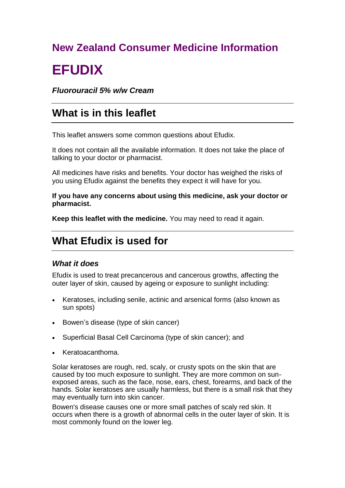# **New Zealand Consumer Medicine Information EFUDIX**

*Fluorouracil 5% w/w Cream*

# **What is in this leaflet**

This leaflet answers some common questions about Efudix.

It does not contain all the available information. It does not take the place of talking to your doctor or pharmacist.

All medicines have risks and benefits. Your doctor has weighed the risks of you using Efudix against the benefits they expect it will have for you.

**If you have any concerns about using this medicine, ask your doctor or pharmacist.**

**Keep this leaflet with the medicine.** You may need to read it again.

# **What Efudix is used for**

# *What it does*

Efudix is used to treat precancerous and cancerous growths, affecting the outer layer of skin, caused by ageing or exposure to sunlight including:

- Keratoses, including senile, actinic and arsenical forms (also known as sun spots)
- Bowen's disease (type of skin cancer)
- Superficial Basal Cell Carcinoma (type of skin cancer); and
- Keratoacanthoma.

Solar keratoses are rough, red, scaly, or crusty spots on the skin that are caused by too much exposure to sunlight. They are more common on sunexposed areas, such as the face, nose, ears, chest, forearms, and back of the hands. Solar keratoses are usually harmless, but there is a small risk that they may eventually turn into skin cancer.

Bowen's disease causes one or more small patches of scaly red skin. It occurs when there is a growth of abnormal cells in the outer layer of skin. It is most commonly found on the lower leg.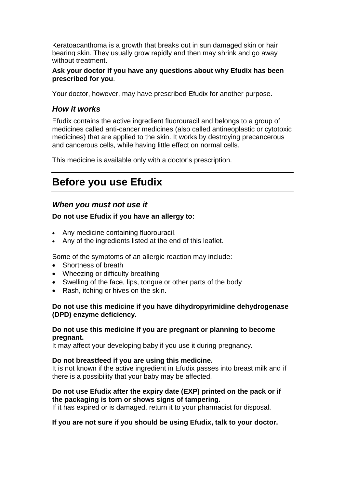Keratoacanthoma is a growth that breaks out in sun damaged skin or hair bearing skin. They usually grow rapidly and then may shrink and go away without treatment.

#### **Ask your doctor if you have any questions about why Efudix has been prescribed for you**.

Your doctor, however, may have prescribed Efudix for another purpose.

# *How it works*

Efudix contains the active ingredient fluorouracil and belongs to a group of medicines called anti-cancer medicines (also called antineoplastic or cytotoxic medicines) that are applied to the skin. It works by destroying precancerous and cancerous cells, while having little effect on normal cells.

This medicine is available only with a doctor's prescription.

# **Before you use Efudix**

# *When you must not use it*

### **Do not use Efudix if you have an allergy to:**

- Any medicine containing fluorouracil.
- Any of the ingredients listed at the end of this leaflet.

Some of the symptoms of an allergic reaction may include:

- Shortness of breath
- Wheezing or difficulty breathing
- Swelling of the face, lips, tongue or other parts of the body
- Rash, itching or hives on the skin.

#### **Do not use this medicine if you have dihydropyrimidine dehydrogenase (DPD) enzyme deficiency.**

#### **Do not use this medicine if you are pregnant or planning to become pregnant.**

It may affect your developing baby if you use it during pregnancy.

#### **Do not breastfeed if you are using this medicine.**

It is not known if the active ingredient in Efudix passes into breast milk and if there is a possibility that your baby may be affected.

#### **Do not use Efudix after the expiry date (EXP) printed on the pack or if the packaging is torn or shows signs of tampering.**

If it has expired or is damaged, return it to your pharmacist for disposal.

#### **If you are not sure if you should be using Efudix, talk to your doctor.**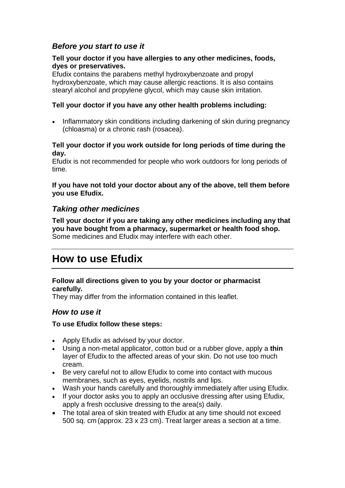# *Before you start to use it*

#### **Tell your doctor if you have allergies to any other medicines, foods, dyes or preservatives.**

Efudix contains the parabens methyl hydroxybenzoate and propyl hydroxybenzoate, which may cause allergic reactions. It is also contains stearyl alcohol and propylene glycol, which may cause skin irritation.

#### **Tell your doctor if you have any other health problems including:**

 Inflammatory skin conditions including darkening of skin during pregnancy (chloasma) or a chronic rash (rosacea).

#### **Tell your doctor if you work outside for long periods of time during the day.**

Efudix is not recommended for people who work outdoors for long periods of time.

#### **If you have not told your doctor about any of the above, tell them before you use Efudix.**

### *Taking other medicines*

**Tell your doctor if you are taking any other medicines including any that you have bought from a pharmacy, supermarket or health food shop.** Some medicines and Efudix may interfere with each other.

# **How to use Efudix**

#### **Follow all directions given to you by your doctor or pharmacist carefully.**

They may differ from the information contained in this leaflet.

### *How to use it*

#### **To use Efudix follow these steps:**

- Apply Efudix as advised by your doctor.
- Using a non-metal applicator, cotton bud or a rubber glove, apply a **thin** layer of Efudix to the affected areas of your skin. Do not use too much cream.
- Be very careful not to allow Efudix to come into contact with mucous membranes, such as eyes, eyelids, nostrils and lips.
- Wash your hands carefully and thoroughly immediately after using Efudix.
- If your doctor asks you to apply an occlusive dressing after using Efudix, apply a fresh occlusive dressing to the area(s) daily.
- The total area of skin treated with Efudix at any time should not exceed 500 sq. cm (approx. 23 x 23 cm). Treat larger areas a section at a time.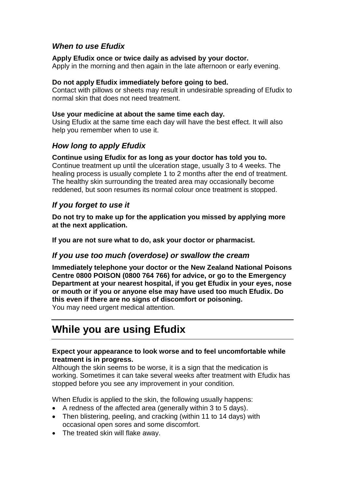# *When to use Efudix*

#### **Apply Efudix once or twice daily as advised by your doctor***.*

Apply in the morning and then again in the late afternoon or early evening.

#### **Do not apply Efudix immediately before going to bed.**

Contact with pillows or sheets may result in undesirable spreading of Efudix to normal skin that does not need treatment.

#### **Use your medicine at about the same time each day.**

Using Efudix at the same time each day will have the best effect. It will also help you remember when to use it.

### *How long to apply Efudix*

#### **Continue using Efudix for as long as your doctor has told you to.**

Continue treatment up until the ulceration stage, usually 3 to 4 weeks. The healing process is usually complete 1 to 2 months after the end of treatment. The healthy skin surrounding the treated area may occasionally become reddened, but soon resumes its normal colour once treatment is stopped.

## *If you forget to use it*

**Do not try to make up for the application you missed by applying more at the next application.**

**If you are not sure what to do, ask your doctor or pharmacist.**

### *If you use too much (overdose) or swallow the cream*

**Immediately telephone your doctor or the New Zealand National Poisons Centre 0800 POISON (0800 764 766) for advice, or go to the Emergency Department at your nearest hospital, if you get Efudix in your eyes, nose or mouth or if you or anyone else may have used too much Efudix. Do this even if there are no signs of discomfort or poisoning.** You may need urgent medical attention.

# **While you are using Efudix**

#### **Expect your appearance to look worse and to feel uncomfortable while treatment is in progress.**

Although the skin seems to be worse, it is a sign that the medication is working. Sometimes it can take several weeks after treatment with Efudix has stopped before you see any improvement in your condition.

When Efudix is applied to the skin, the following usually happens:

- A redness of the affected area (generally within 3 to 5 days).
- Then blistering, peeling, and cracking (within 11 to 14 days) with occasional open sores and some discomfort.
- The treated skin will flake away.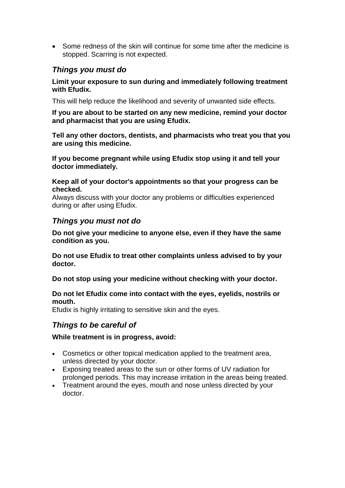Some redness of the skin will continue for some time after the medicine is stopped. Scarring is not expected.

# *Things you must do*

#### **Limit your exposure to sun during and immediately following treatment with Efudix.**

This will help reduce the likelihood and severity of unwanted side effects.

**If you are about to be started on any new medicine, remind your doctor and pharmacist that you are using Efudix.**

**Tell any other doctors, dentists, and pharmacists who treat you that you are using this medicine.**

**If you become pregnant while using Efudix stop using it and tell your doctor immediately.**

**Keep all of your doctor's appointments so that your progress can be checked.**

Always discuss with your doctor any problems or difficulties experienced during or after using Efudix.

## *Things you must not do*

**Do not give your medicine to anyone else, even if they have the same condition as you.**

**Do not use Efudix to treat other complaints unless advised to by your doctor.**

**Do not stop using your medicine without checking with your doctor.**

**Do not let Efudix come into contact with the eyes, eyelids, nostrils or mouth.**

Efudix is highly irritating to sensitive skin and the eyes.

### *Things to be careful of*

#### **While treatment is in progress, avoid:**

- Cosmetics or other topical medication applied to the treatment area, unless directed by your doctor.
- Exposing treated areas to the sun or other forms of UV radiation for prolonged periods. This may increase irritation in the areas being treated.
- Treatment around the eyes, mouth and nose unless directed by your doctor.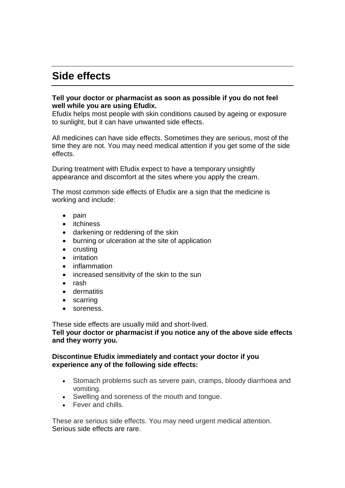# **Side effects**

#### **Tell your doctor or pharmacist as soon as possible if you do not feel well while you are using Efudix.**

Efudix helps most people with skin conditions caused by ageing or exposure to sunlight, but it can have unwanted side effects.

All medicines can have side effects. Sometimes they are serious, most of the time they are not. You may need medical attention if you get some of the side effects.

During treatment with Efudix expect to have a temporary unsightly appearance and discomfort at the sites where you apply the cream.

The most common side effects of Efudix are a sign that the medicine is working and include:

- $\bullet$  pain
- itchiness
- darkening or reddening of the skin
- burning or ulceration at the site of application
- crusting
- **•** irritation
- inflammation
- increased sensitivity of the skin to the sun
- $\bullet$  rash
- **•** dermatitis
- scarring
- soreness.

These side effects are usually mild and short-lived. **Tell your doctor or pharmacist if you notice any of the above side effects and they worry you.**

#### **Discontinue Efudix immediately and contact your doctor if you experience any of the following side effects:**

- Stomach problems such as severe pain, cramps, bloody diarrhoea and vomiting.
- Swelling and soreness of the mouth and tongue.
- Fever and chills.

These are serious side effects. You may need urgent medical attention. Serious side effects are rare.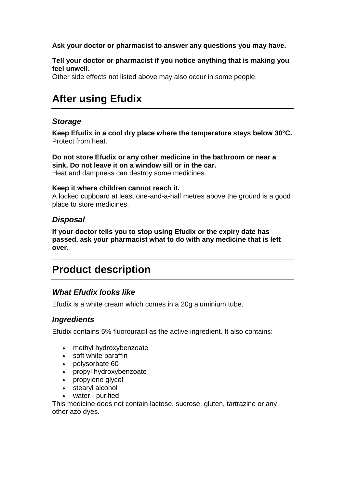#### **Ask your doctor or pharmacist to answer any questions you may have.**

#### **Tell your doctor or pharmacist if you notice anything that is making you feel unwell.**

Other side effects not listed above may also occur in some people.

# **After using Efudix**

## *Storage*

**Keep Efudix in a cool dry place where the temperature stays below 30°C.** Protect from heat.

**Do not store Efudix or any other medicine in the bathroom or near a sink. Do not leave it on a window sill or in the car.** Heat and dampness can destroy some medicines.

#### **Keep it where children cannot reach it.**

A locked cupboard at least one-and-a-half metres above the ground is a good place to store medicines.

# *Disposal*

**If your doctor tells you to stop using Efudix or the expiry date has passed, ask your pharmacist what to do with any medicine that is left over.**

# **Product description**

# *What Efudix looks like*

Efudix is a white cream which comes in a 20g aluminium tube.

# *Ingredients*

Efudix contains 5% fluorouracil as the active ingredient. It also contains:

- methyl hydroxybenzoate
- soft white paraffin
- polysorbate 60
- propyl hydroxybenzoate
- propylene glycol
- stearyl alcohol
- water purified

This medicine does not contain lactose, sucrose, gluten, tartrazine or any other azo dyes.